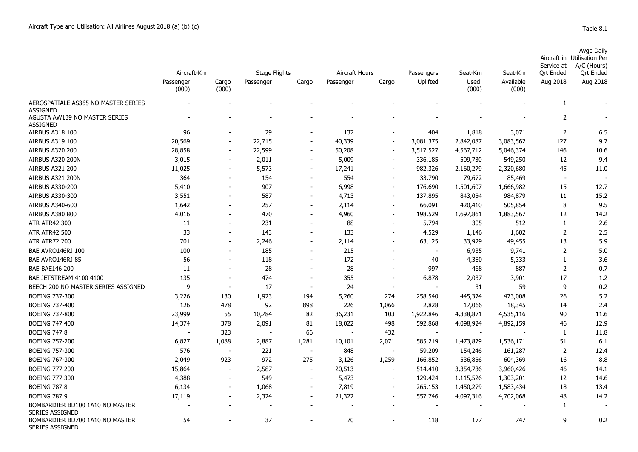|            | Avge Daily                  |
|------------|-----------------------------|
|            | Aircraft in Utilisation Per |
| Service at | A/C (Hours)                 |

|                                                           | Aircraft-Km        |                | <b>Stage Flights</b> |                          | Aircraft Hours |                          | Passengers | Seat-Km       | Seat-Km            | sei vice al<br><b>Qrt Ended</b> | $A/C$ (Figure)<br><b>Qrt Ended</b> |
|-----------------------------------------------------------|--------------------|----------------|----------------------|--------------------------|----------------|--------------------------|------------|---------------|--------------------|---------------------------------|------------------------------------|
|                                                           | Passenger<br>(000) | Cargo<br>(000) | Passenger            | Cargo                    | Passenger      | Cargo                    | Uplifted   | Used<br>(000) | Available<br>(000) | Aug 2018                        | Aug 2018                           |
| AEROSPATIALE AS365 NO MASTER SERIES<br><b>ASSIGNED</b>    |                    |                |                      |                          |                |                          |            |               |                    | 1                               |                                    |
| AGUSTA AW139 NO MASTER SERIES<br><b>ASSIGNED</b>          |                    |                |                      |                          |                |                          |            |               |                    | $\overline{2}$                  |                                    |
| AIRBUS A318 100                                           | 96                 |                | 29                   |                          | 137            |                          | 404        | 1,818         | 3,071              | $\overline{2}$                  | 6.5                                |
| <b>AIRBUS A319 100</b>                                    | 20,569             |                | 22,715               |                          | 40,339         | $\sim$                   | 3,081,375  | 2,842,087     | 3,083,562          | 127                             | 9.7                                |
| <b>AIRBUS A320 200</b>                                    | 28,858             |                | 22,599               |                          | 50,208         | $\overline{\phantom{a}}$ | 3,517,527  | 4,567,712     | 5,046,374          | 146                             | 10.6                               |
| AIRBUS A320 200N                                          | 3,015              |                | 2,011                |                          | 5,009          |                          | 336,185    | 509,730       | 549,250            | 12                              | 9.4                                |
| <b>AIRBUS A321 200</b>                                    | 11,025             |                | 5,573                |                          | 17,241         |                          | 982,326    | 2,160,279     | 2,320,680          | 45                              | 11.0                               |
| AIRBUS A321 200N                                          | 364                |                | 154                  |                          | 554            |                          | 33,790     | 79,672        | 85,469             | $\sim$                          |                                    |
| <b>AIRBUS A330-200</b>                                    | 5,410              |                | 907                  |                          | 6,998          | $\blacksquare$           | 176,690    | 1,501,607     | 1,666,982          | 15                              | 12.7                               |
| AIRBUS A330-300                                           | 3,551              |                | 587                  |                          | 4,713          | $\overline{\phantom{a}}$ | 137,895    | 843,054       | 984,879            | 11                              | 15.2                               |
| AIRBUS A340-600                                           | 1,642              |                | 257                  |                          | 2,114          | $\overline{\phantom{a}}$ | 66,091     | 420,410       | 505,854            | 8                               | 9.5                                |
| AIRBUS A380 800                                           | 4,016              |                | 470                  |                          | 4,960          |                          | 198,529    | 1,697,861     | 1,883,567          | 12                              | 14.2                               |
| <b>ATR ATR42 300</b>                                      | 11                 |                | 231                  |                          | 88             |                          | 5,794      | 305           | 512                | 1                               | 2.6                                |
| <b>ATR ATR42 500</b>                                      | 33                 |                | 143                  |                          | 133            |                          | 4,529      | 1,146         | 1,602              | $\overline{2}$                  | 2.5                                |
| <b>ATR ATR72 200</b>                                      | 701                |                | 2,246                |                          | 2,114          |                          | 63,125     | 33,929        | 49,455             | 13                              | 5.9                                |
| BAE AVRO146RJ 100                                         | 100                |                | 185                  |                          | 215            |                          |            | 6,935         | 9,741              | $\overline{2}$                  | 5.0                                |
| BAE AVRO146RJ 85                                          | 56                 |                | 118                  |                          | 172            |                          | 40         | 4,380         | 5,333              | $\mathbf{1}$                    | 3.6                                |
| <b>BAE BAE146 200</b>                                     | 11                 |                | 28                   |                          | 28             |                          | 997        | 468           | 887                | $\overline{2}$                  | 0.7                                |
| BAE JETSTREAM 4100 4100                                   | 135                |                | 474                  |                          | 355            |                          | 6,878      | 2,037         | 3,901              | 17                              | 1.2                                |
| BEECH 200 NO MASTER SERIES ASSIGNED                       | 9                  |                | 17                   |                          | 24             |                          |            | 31            | 59                 | 9                               | 0.2                                |
| <b>BOEING 737-300</b>                                     | 3,226              | 130            | 1,923                | 194                      | 5,260          | 274                      | 258,540    | 445,374       | 473,008            | 26                              | 5.2                                |
| <b>BOEING 737-400</b>                                     | 126                | 478            | 92                   | 898                      | 226            | 1,066                    | 2,828      | 17,066        | 18,345             | 14                              | 2.4                                |
| <b>BOEING 737-800</b>                                     | 23,999             | 55             | 10,784               | 82                       | 36,231         | 103                      | 1,922,846  | 4,338,871     | 4,535,116          | 90                              | 11.6                               |
| <b>BOEING 747 400</b>                                     | 14,374             | 378            | 2,091                | 81                       | 18,022         | 498                      | 592,868    | 4,098,924     | 4,892,159          | 46                              | 12.9                               |
| <b>BOEING 747 8</b>                                       |                    | 323            |                      | 66                       |                | 432                      |            |               |                    | 1                               | 11.8                               |
| <b>BOEING 757-200</b>                                     | 6,827              | 1,088          | 2,887                | 1,281                    | 10,101         | 2,071                    | 585,219    | 1,473,879     | 1,536,171          | 51                              | 6.1                                |
| <b>BOEING 757-300</b>                                     | 576                |                | 221                  | $\sim$                   | 848            | $\sim$                   | 59,209     | 154,246       | 161,287            | 2                               | 12.4                               |
| <b>BOEING 767-300</b>                                     | 2,049              | 923            | 972                  | 275                      | 3,126          | 1,259                    | 166,852    | 536,856       | 604,369            | 16                              | 8.8                                |
| <b>BOEING 777 200</b>                                     | 15,864             |                | 2,587                |                          | 20,513         |                          | 514,410    | 3,354,736     | 3,960,426          | 46                              | 14.1                               |
| <b>BOEING 777 300</b>                                     | 4,388              |                | 549                  | $\overline{\phantom{a}}$ | 5,473          |                          | 129,424    | 1,115,526     | 1,303,201          | 12                              | 14.6                               |
| <b>BOEING 787 8</b>                                       | 6,134              |                | 1,068                | $\overline{\phantom{a}}$ | 7,819          |                          | 265,153    | 1,450,279     | 1,583,434          | 18                              | 13.4                               |
| <b>BOEING 787 9</b>                                       | 17,119             |                | 2,324                |                          | 21,322         |                          | 557,746    | 4,097,316     | 4,702,068          | 48                              | 14.2                               |
| BOMBARDIER BD100 1A10 NO MASTER<br>SERIES ASSIGNED        |                    |                |                      |                          |                |                          |            |               |                    | 1                               |                                    |
| BOMBARDIER BD700 1A10 NO MASTER<br><b>SERIES ASSIGNED</b> | 54                 |                | 37                   |                          | 70             |                          | 118        | 177           | 747                | 9                               | 0.2                                |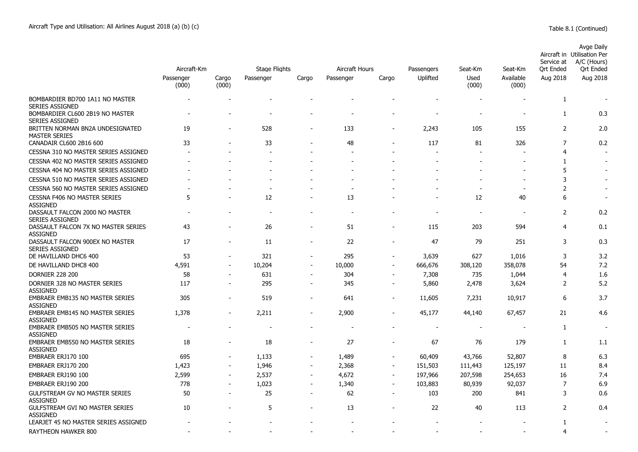|                                                           | Aircraft-Km        |                | <b>Stage Flights</b> | Aircraft Hours           |           | Passengers     | Seat-Km  | Seat-Km       | Service at<br>Ort Ended  | Avge Daily<br>Aircraft in Utilisation Per<br>A/C (Hours)<br>Ort Ended |                          |
|-----------------------------------------------------------|--------------------|----------------|----------------------|--------------------------|-----------|----------------|----------|---------------|--------------------------|-----------------------------------------------------------------------|--------------------------|
|                                                           | Passenger<br>(000) | Cargo<br>(000) | Passenger            | Cargo                    | Passenger | Cargo          | Uplifted | Used<br>(000) | Available<br>(000)       | Aug 2018                                                              | Aug 2018                 |
| BOMBARDIER BD700 1A11 NO MASTER<br><b>SERIES ASSIGNED</b> |                    |                |                      |                          |           |                |          |               |                          | 1                                                                     |                          |
| BOMBARDIER CL600 2B19 NO MASTER<br><b>SERIES ASSIGNED</b> |                    |                |                      |                          |           |                |          |               |                          | $\mathbf{1}$                                                          | 0.3                      |
| BRITTEN NORMAN BN2A UNDESIGNATED<br><b>MASTER SERIES</b>  | 19                 |                | 528                  |                          | 133       |                | 2,243    | 105           | 155                      | 2                                                                     | 2.0                      |
| CANADAIR CL600 2B16 600                                   | 33                 |                | 33                   |                          | 48        |                | 117      | 81            | 326                      | 7                                                                     | 0.2                      |
| CESSNA 310 NO MASTER SERIES ASSIGNED                      |                    |                |                      |                          |           |                |          |               |                          | 4                                                                     |                          |
| CESSNA 402 NO MASTER SERIES ASSIGNED                      |                    |                |                      |                          |           |                |          |               |                          | 1                                                                     |                          |
| CESSNA 404 NO MASTER SERIES ASSIGNED                      |                    |                |                      |                          |           |                |          |               | $\overline{\phantom{a}}$ | 5                                                                     |                          |
| CESSNA 510 NO MASTER SERIES ASSIGNED                      |                    |                |                      |                          |           |                |          |               | $\overline{\phantom{a}}$ | 3                                                                     |                          |
| CESSNA 560 NO MASTER SERIES ASSIGNED                      |                    |                |                      |                          |           |                |          |               | $\blacksquare$           | 2                                                                     | $\overline{\phantom{a}}$ |
| <b>CESSNA F406 NO MASTER SERIES</b><br><b>ASSIGNED</b>    | 5                  |                | 12                   |                          | 13        |                |          | 12            | 40                       | 6                                                                     | $\overline{\phantom{a}}$ |
| DASSAULT FALCON 2000 NO MASTER<br><b>SERIES ASSIGNED</b>  |                    |                |                      |                          |           |                |          |               |                          | 2                                                                     | 0.2                      |
| DASSAULT FALCON 7X NO MASTER SERIES<br><b>ASSIGNED</b>    | 43                 |                | 26                   |                          | 51        |                | 115      | 203           | 594                      | 4                                                                     | 0.1                      |
| DASSAULT FALCON 900EX NO MASTER<br><b>SERIES ASSIGNED</b> | 17                 |                | 11                   |                          | 22        |                | 47       | 79            | 251                      | 3                                                                     | 0.3                      |
| DE HAVILLAND DHC6 400                                     | 53                 | $\blacksquare$ | 321                  | $\sim$                   | 295       | $\sim$         | 3,639    | 627           | 1,016                    | 3                                                                     | 3.2                      |
| DE HAVILLAND DHC8 400                                     | 4,591              | $\blacksquare$ | 10,204               | $\overline{\phantom{a}}$ | 10,000    |                | 666,676  | 308,120       | 358,078                  | 54                                                                    | 7.2                      |
| <b>DORNIER 228 200</b>                                    | 58                 |                | 631                  |                          | 304       |                | 7,308    | 735           | 1,044                    | 4                                                                     | 1.6                      |
| DORNIER 328 NO MASTER SERIES<br><b>ASSIGNED</b>           | 117                | $\blacksquare$ | 295                  | $\overline{\phantom{a}}$ | 345       |                | 5,860    | 2,478         | 3,624                    | $\overline{2}$                                                        | 5.2                      |
| <b>EMBRAER EMB135 NO MASTER SERIES</b><br><b>ASSIGNED</b> | 305                | $\blacksquare$ | 519                  | $\overline{\phantom{a}}$ | 641       | $\blacksquare$ | 11,605   | 7,231         | 10,917                   | 6                                                                     | 3.7                      |
| <b>EMBRAER EMB145 NO MASTER SERIES</b><br><b>ASSIGNED</b> | 1,378              | $\blacksquare$ | 2,211                | $\blacksquare$           | 2,900     |                | 45,177   | 44,140        | 67,457                   | 21                                                                    | 4.6                      |
| EMBRAER EMB505 NO MASTER SERIES<br><b>ASSIGNED</b>        |                    |                |                      |                          |           |                |          |               |                          | 1                                                                     | $\overline{\phantom{a}}$ |
| EMBRAER EMB550 NO MASTER SERIES<br><b>ASSIGNED</b>        | 18                 |                | 18                   |                          | 27        |                | 67       | 76            | 179                      | 1                                                                     | 1.1                      |
| EMBRAER ERJ170 100                                        | 695                |                | 1,133                | $\blacksquare$           | 1,489     |                | 60,409   | 43,766        | 52,807                   | 8                                                                     | 6.3                      |
| EMBRAER ERJ170 200                                        | 1,423              |                | 1,946                |                          | 2,368     |                | 151,503  | 111,443       | 125,197                  | 11                                                                    | 8.4                      |
| EMBRAER ERJ190 100                                        | 2,599              | $\overline{a}$ | 2,537                | $\blacksquare$           | 4,672     | $\blacksquare$ | 197,966  | 207,598       | 254,653                  | 16                                                                    | 7.4                      |
| EMBRAER ERJ190 200                                        | 778                |                | 1,023                |                          | 1,340     |                | 103,883  | 80,939        | 92,037                   | 7                                                                     | 6.9                      |
| <b>GULFSTREAM GV NO MASTER SERIES</b><br><b>ASSIGNED</b>  | 50                 | $\overline{a}$ | 25                   | $\overline{\phantom{a}}$ | 62        | $\blacksquare$ | 103      | 200           | 841                      | 3                                                                     | 0.6                      |
| <b>GULFSTREAM GVI NO MASTER SERIES</b><br><b>ASSIGNED</b> | 10                 |                | 5                    |                          | 13        |                | 22       | 40            | 113                      | 2                                                                     | 0.4                      |
| LEARJET 45 NO MASTER SERIES ASSIGNED                      |                    |                |                      |                          |           |                |          |               |                          | 1                                                                     |                          |
| RAYTHEON HAWKER 800                                       |                    |                |                      |                          |           |                |          |               |                          | 4                                                                     |                          |